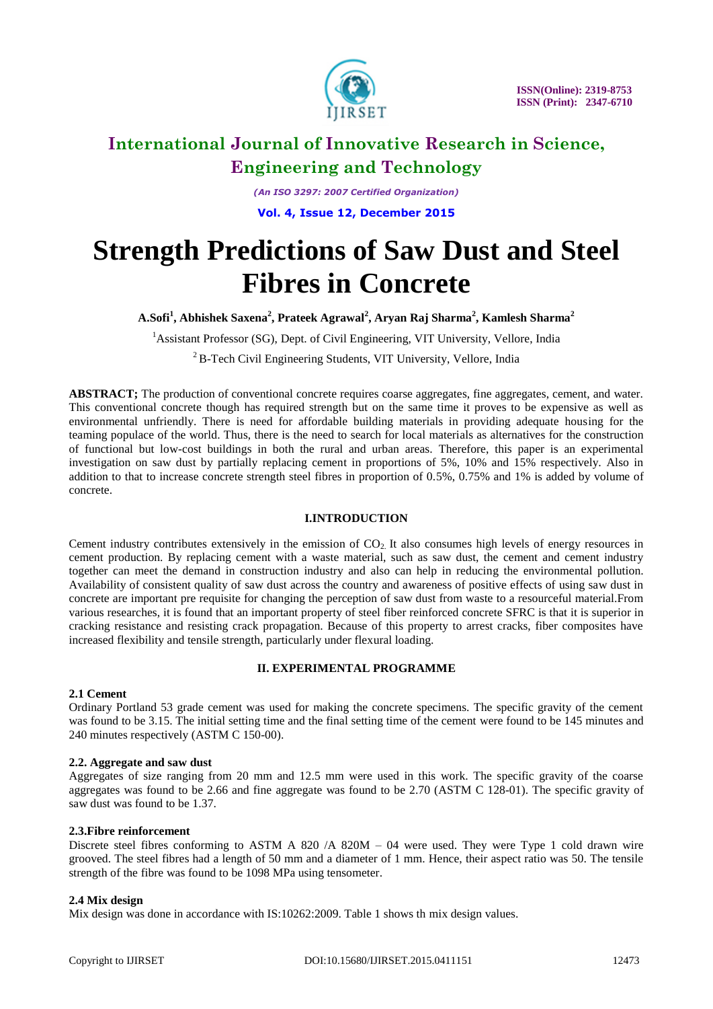

*(An ISO 3297: 2007 Certified Organization)* **Vol. 4, Issue 12, December 2015**

# **Strength Predictions of Saw Dust and Steel Fibres in Concrete**

**A.Sofi<sup>1</sup> , Abhishek Saxena<sup>2</sup> , Prateek Agrawal<sup>2</sup> , Aryan Raj Sharma<sup>2</sup> , Kamlesh Sharma<sup>2</sup>**

<sup>1</sup> Assistant Professor (SG), Dept. of Civil Engineering, VIT University, Vellore, India

<sup>2</sup> B-Tech Civil Engineering Students, VIT University, Vellore, India

**ABSTRACT;** The production of conventional concrete requires coarse aggregates, fine aggregates, cement, and water. This conventional concrete though has required strength but on the same time it proves to be expensive as well as environmental unfriendly. There is need for affordable building materials in providing adequate housing for the teaming populace of the world. Thus, there is the need to search for local materials as alternatives for the construction of functional but low-cost buildings in both the rural and urban areas. Therefore, this paper is an experimental investigation on saw dust by partially replacing cement in proportions of 5%, 10% and 15% respectively. Also in addition to that to increase concrete strength steel fibres in proportion of 0.5%, 0.75% and 1% is added by volume of concrete.

### **I.INTRODUCTION**

Cement industry contributes extensively in the emission of  $CO<sub>2</sub>$  It also consumes high levels of energy resources in cement production. By replacing cement with a waste material, such as saw dust, the cement and cement industry together can meet the demand in construction industry and also can help in reducing the environmental pollution. Availability of consistent quality of saw dust across the country and awareness of positive effects of using saw dust in concrete are important pre requisite for changing the perception of saw dust from waste to a resourceful material.From various researches, it is found that an important property of steel fiber reinforced concrete SFRC is that it is superior in cracking resistance and resisting crack propagation. Because of this property to arrest cracks, fiber composites have increased flexibility and tensile strength, particularly under flexural loading.

# **II. EXPERIMENTAL PROGRAMME**

### **2.1 Cement**

Ordinary Portland 53 grade cement was used for making the concrete specimens. The specific gravity of the cement was found to be 3.15. The initial setting time and the final setting time of the cement were found to be 145 minutes and 240 minutes respectively (ASTM C 150-00).

### **2.2. Aggregate and saw dust**

Aggregates of size ranging from 20 mm and 12.5 mm were used in this work. The specific gravity of the coarse aggregates was found to be 2.66 and fine aggregate was found to be 2.70 (ASTM C 128-01). The specific gravity of saw dust was found to be 1.37.

### **2.3.Fibre reinforcement**

Discrete steel fibres conforming to ASTM A 820 /A 820M – 04 were used. They were Type 1 cold drawn wire grooved. The steel fibres had a length of 50 mm and a diameter of 1 mm. Hence, their aspect ratio was 50. The tensile strength of the fibre was found to be 1098 MPa using tensometer.

### **2.4 Mix design**

Mix design was done in accordance with IS:10262:2009. Table 1 shows th mix design values.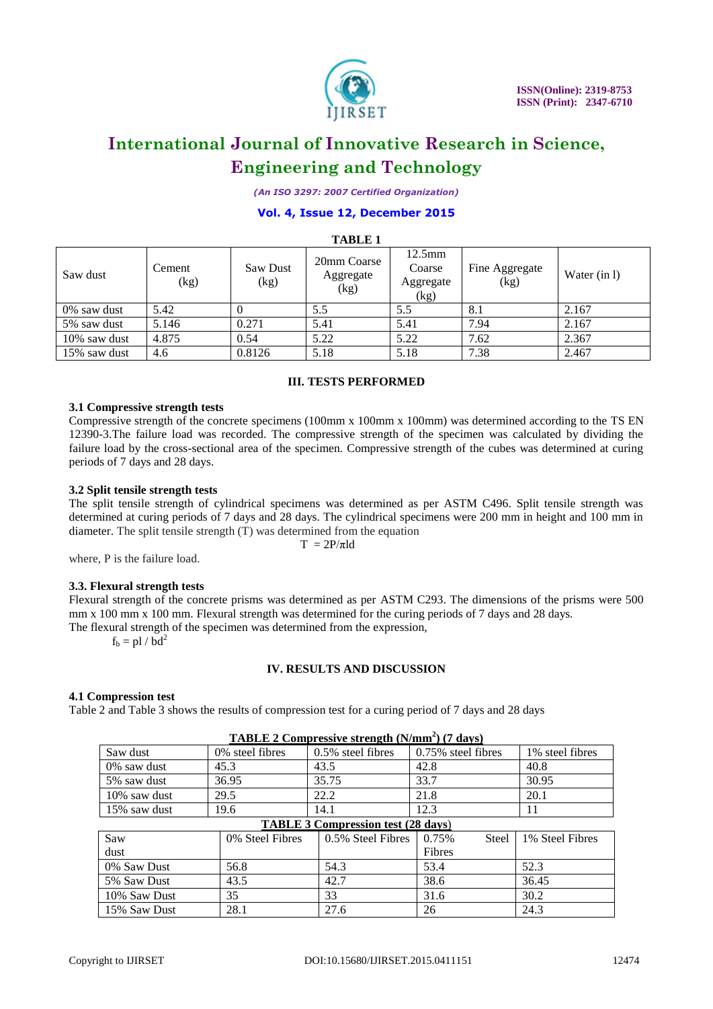

*(An ISO 3297: 2007 Certified Organization)*

# **Vol. 4, Issue 12, December 2015**

| <b>TABLE 1</b> |                |                  |                                  |                                                 |                        |              |  |
|----------------|----------------|------------------|----------------------------------|-------------------------------------------------|------------------------|--------------|--|
| Saw dust       | Cement<br>(kg) | Saw Dust<br>(kg) | 20mm Coarse<br>Aggregate<br>(kg) | $12.5 \text{mm}$<br>Coarse<br>Aggregate<br>(kg) | Fine Aggregate<br>(kg) | Water (in 1) |  |
| 0% saw dust    | 5.42           |                  | 5.5                              | 5.5                                             | 8.1                    | 2.167        |  |
| 5% saw dust    | 5.146          | 0.271            | 5.41                             | 5.41                                            | 7.94                   | 2.167        |  |
| 10% saw dust   | 4.875          | 0.54             | 5.22                             | 5.22                                            | 7.62                   | 2.367        |  |
| 15% saw dust   | 4.6            | 0.8126           | 5.18                             | 5.18                                            | 7.38                   | 2.467        |  |

### **III. TESTS PERFORMED**

#### **3.1 Compressive strength tests**

Compressive strength of the concrete specimens (100mm x 100mm x 100mm) was determined according to the TS EN 12390-3.The failure load was recorded. The compressive strength of the specimen was calculated by dividing the failure load by the cross-sectional area of the specimen. Compressive strength of the cubes was determined at curing periods of 7 days and 28 days.

#### **3.2 Split tensile strength tests**

The split tensile strength of cylindrical specimens was determined as per ASTM C496. Split tensile strength was determined at curing periods of 7 days and 28 days. The cylindrical specimens were 200 mm in height and 100 mm in diameter. The split tensile strength (T) was determined from the equation

 $T = 2P/\pi Id$ 

where, P is the failure load.

### **3.3. Flexural strength tests**

Flexural strength of the concrete prisms was determined as per ASTM C293. The dimensions of the prisms were 500 mm x 100 mm x 100 mm. Flexural strength was determined for the curing periods of 7 days and 28 days. The flexural strength of the specimen was determined from the expression,

 $f_b = pl / bd^2$ 

# **IV. RESULTS AND DISCUSSION**

### **4.1 Compression test**

Table 2 and Table 3 shows the results of compression test for a curing period of 7 days and 28 days

| $\mathbf{1}$ $\mathbf{1}$ $\mathbf{1}$ $\mathbf{1}$ $\mathbf{1}$ $\mathbf{1}$ $\mathbf{1}$ $\mathbf{1}$ $\mathbf{1}$ $\mathbf{1}$ $\mathbf{1}$ $\mathbf{1}$ $\mathbf{1}$ $\mathbf{1}$ $\mathbf{1}$ $\mathbf{1}$ $\mathbf{1}$ $\mathbf{1}$ $\mathbf{1}$ $\mathbf{1}$ $\mathbf{1}$ $\mathbf{1}$ $\mathbf{1}$ $\mathbf{1}$ $\mathbf{$ |                  |                      |                       |                  |  |  |  |
|------------------------------------------------------------------------------------------------------------------------------------------------------------------------------------------------------------------------------------------------------------------------------------------------------------------------------------|------------------|----------------------|-----------------------|------------------|--|--|--|
| Saw dust                                                                                                                                                                                                                                                                                                                           | 0\% steel fibres | $0.5\%$ steel fibres | $0.75\%$ steel fibres | 1\% steel fibres |  |  |  |
| 0% saw dust                                                                                                                                                                                                                                                                                                                        | 45.3             | 43.5                 | 42.8                  | 40.8             |  |  |  |
| 5% saw dust                                                                                                                                                                                                                                                                                                                        | 36.95            | 35.75                | 33.7                  | 30.95            |  |  |  |
| 10% saw dust                                                                                                                                                                                                                                                                                                                       | 29.5             | 22.2                 | 21.8                  | 20.1             |  |  |  |
| 15% saw dust                                                                                                                                                                                                                                                                                                                       | 19.6             | 14.1                 | 12.3                  | 11               |  |  |  |
| <b>TABLE 3 Compression test (28 days)</b>                                                                                                                                                                                                                                                                                          |                  |                      |                       |                  |  |  |  |
| Saw                                                                                                                                                                                                                                                                                                                                | 0% Steel Fibres  | 0.5% Steel Fibres    | 0.75%<br>Steel        | 1% Steel Fibres  |  |  |  |
| dust                                                                                                                                                                                                                                                                                                                               |                  |                      | Fibres                |                  |  |  |  |
| 0% Saw Dust                                                                                                                                                                                                                                                                                                                        | 56.8             | 54.3                 | 53.4                  | 52.3             |  |  |  |
| 5% Saw Dust                                                                                                                                                                                                                                                                                                                        | 43.5             | 42.7                 | 38.6                  | 36.45            |  |  |  |

10% Saw Dust 35 33 31.6 30.2 15% Saw Dust 28.1 27.6 26 24.3

## **TABLE 2 Compressive strength (N/mm<sup>2</sup> ) (7 days)**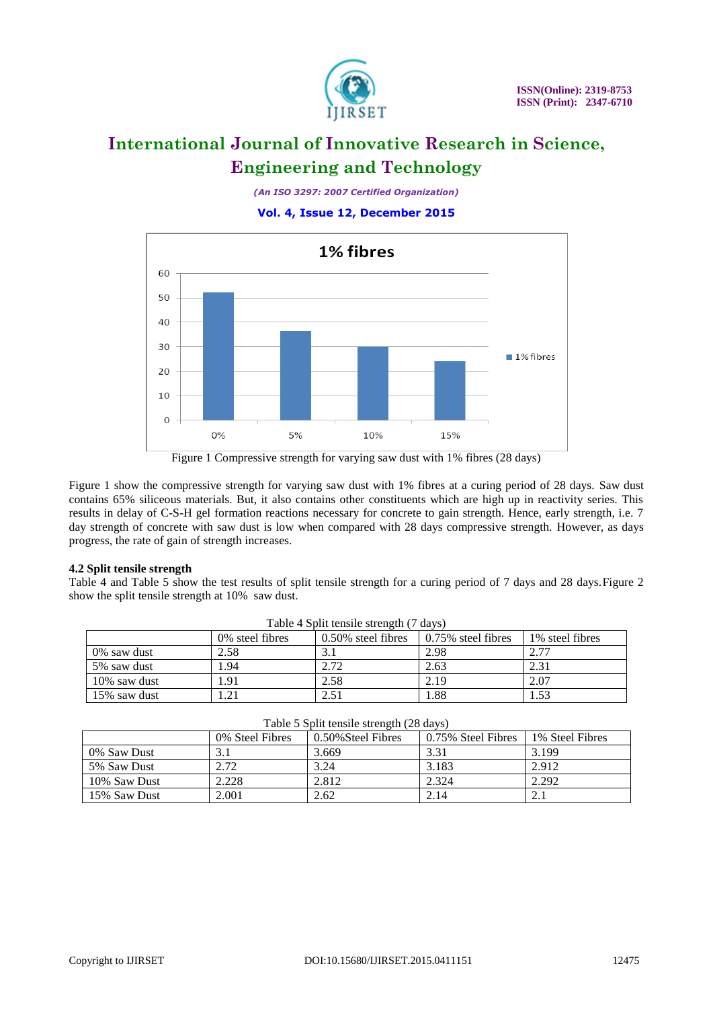

*(An ISO 3297: 2007 Certified Organization)*

**Vol. 4, Issue 12, December 2015**



Figure 1 Compressive strength for varying saw dust with 1% fibres (28 days)

Figure 1 show the compressive strength for varying saw dust with 1% fibres at a curing period of 28 days. Saw dust contains 65% siliceous materials. But, it also contains other constituents which are high up in reactivity series. This results in delay of C-S-H gel formation reactions necessary for concrete to gain strength. Hence, early strength, i.e. 7 day strength of concrete with saw dust is low when compared with 28 days compressive strength. However, as days progress, the rate of gain of strength increases.

# **4.2 Split tensile strength**

Table 4 and Table 5 show the test results of split tensile strength for a curing period of 7 days and 28 days.Figure 2 show the split tensile strength at 10% saw dust.

| Table 4 Split tensile strength (7 days) |                  |                       |                    |                  |  |  |
|-----------------------------------------|------------------|-----------------------|--------------------|------------------|--|--|
|                                         | 0\% steel fibres | $0.50\%$ steel fibres | 0.75% steel fibres | 1\% steel fibres |  |  |
| 0% saw dust                             | 2.58             |                       | 2.98               | 2.77             |  |  |
| 5% saw dust                             | .94              | 2.72                  | 2.63               | 2.31             |  |  |
| 10% saw dust                            | '.91             | 2.58                  | 2.19               | 2.07             |  |  |
| 15% saw dust                            | .21              | 2.51                  | 1.88               | 1.53             |  |  |

|              | 0% steel fibres | 0.50% steel fibres | 0.75% steel fibres | 1% steel fibres |
|--------------|-----------------|--------------------|--------------------|-----------------|
| 0% saw dust  | 2.58            |                    | 2.98               | 2.77            |
| 5% saw dust  | 1.94            | 2.72               | 2.63               | 2.31            |
| 10% saw dust | l.91            | 2.58               | 2.19               | 2.07            |
| 15% saw dust | .21             | 2.51               | 1.88               | 1.53            |
|              |                 |                    |                    |                 |

| I avie $\sigma$ spin tensife strength ( $\sigma$ days) |                 |                    |                    |                 |  |  |
|--------------------------------------------------------|-----------------|--------------------|--------------------|-----------------|--|--|
|                                                        | 0% Steel Fibres | 0.50% Steel Fibres | 0.75% Steel Fibres | 1% Steel Fibres |  |  |
| 0% Saw Dust                                            |                 | 3.669              | 3.31               | 3.199           |  |  |
| 5% Saw Dust                                            | 2.72            | 3.24               | 3.183              | 2.912           |  |  |
| 10% Saw Dust                                           | 2.228           | 2.812              | 2.324              | 2.292           |  |  |
| 15% Saw Dust                                           | 2.001           | 2.62               | 2.14               | 2.1             |  |  |

|  |  |  | Table 5 Split tensile strength (28 days) |  |  |  |
|--|--|--|------------------------------------------|--|--|--|
|--|--|--|------------------------------------------|--|--|--|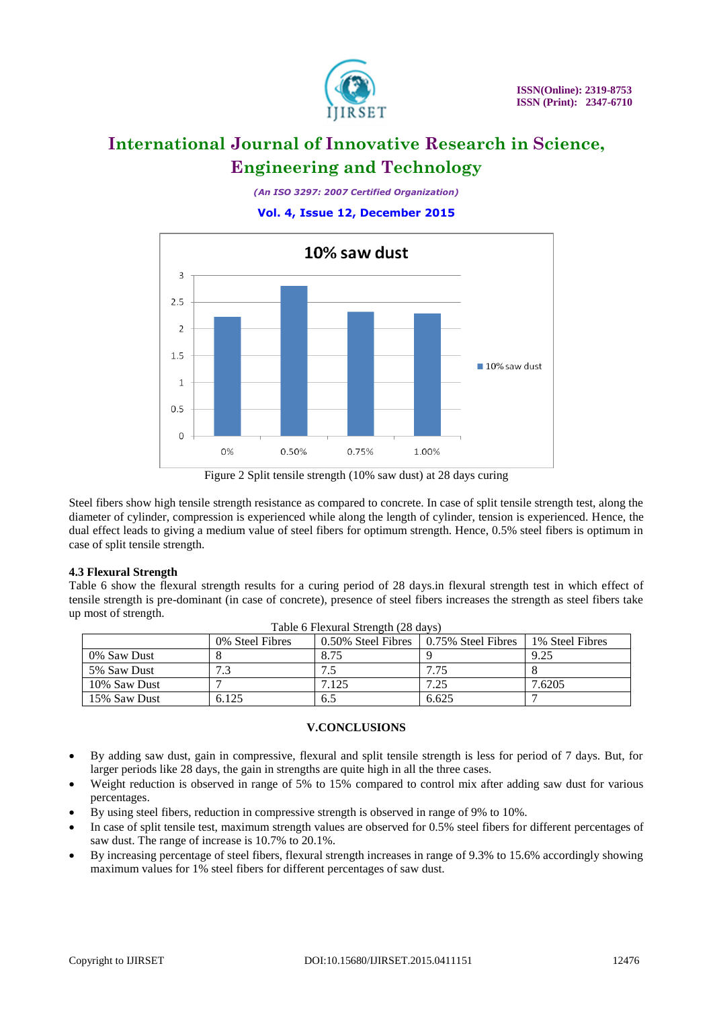

*(An ISO 3297: 2007 Certified Organization)*

# **Vol. 4, Issue 12, December 2015**



Figure 2 Split tensile strength (10% saw dust) at 28 days curing

Steel fibers show high tensile strength resistance as compared to concrete. In case of split tensile strength test, along the diameter of cylinder, compression is experienced while along the length of cylinder, tension is experienced. Hence, the dual effect leads to giving a medium value of steel fibers for optimum strength. Hence, 0.5% steel fibers is optimum in case of split tensile strength.

# **4.3 Flexural Strength**

Table 6 show the flexural strength results for a curing period of 28 days.in flexural strength test in which effect of tensile strength is pre-dominant (in case of concrete), presence of steel fibers increases the strength as steel fibers take up most of strength.

| Table 6 Flexural Strength (28 days) |                 |                                         |       |                 |  |  |  |
|-------------------------------------|-----------------|-----------------------------------------|-------|-----------------|--|--|--|
|                                     | 0% Steel Fibres | 0.50% Steel Fibres 1 0.75% Steel Fibres |       | 1% Steel Fibres |  |  |  |
| 0% Saw Dust                         |                 | 8.75                                    |       | 9.25            |  |  |  |
| 5% Saw Dust                         | 72              |                                         | 7.75  |                 |  |  |  |
| 10% Saw Dust                        |                 | 7.125                                   | 7.25  | 7.6205          |  |  |  |
| 15% Saw Dust                        | 6.125           | 6.5                                     | 6.625 |                 |  |  |  |

# **V.CONCLUSIONS**

- By adding saw dust, gain in compressive, flexural and split tensile strength is less for period of 7 days. But, for larger periods like 28 days, the gain in strengths are quite high in all the three cases.
- Weight reduction is observed in range of 5% to 15% compared to control mix after adding saw dust for various percentages.
- By using steel fibers, reduction in compressive strength is observed in range of 9% to 10%.
- In case of split tensile test, maximum strength values are observed for 0.5% steel fibers for different percentages of saw dust. The range of increase is 10.7% to 20.1%.
- By increasing percentage of steel fibers, flexural strength increases in range of 9.3% to 15.6% accordingly showing maximum values for 1% steel fibers for different percentages of saw dust.